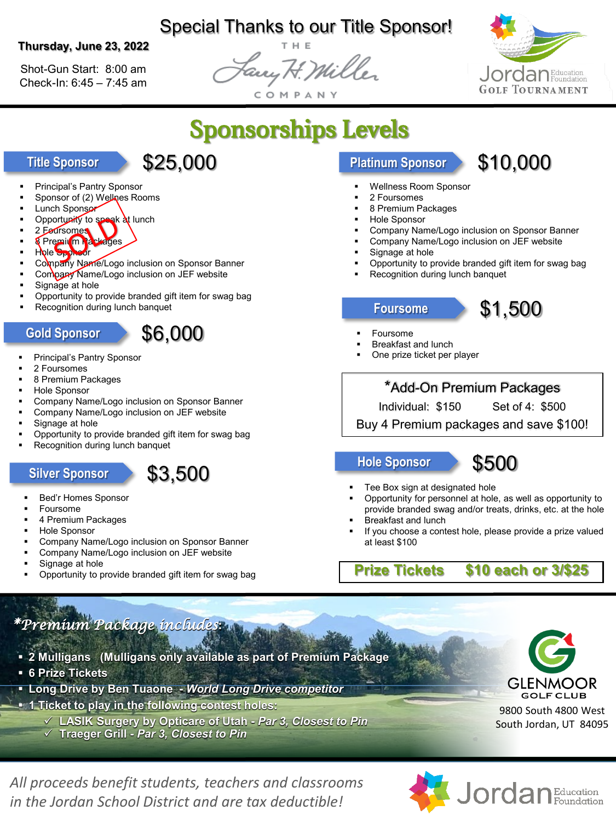# Special Thanks to our Title Sponsor!

#### **Thursday, June 23, 2022**

Shot-Gun Start: 8:00 am Check-In: 6:45 – 7:45 am

Fary H. Mill



Sponsorships Levels

# **Title Sponsor** \$25,000

\$6,000

- Principal's Pantry Sponsor
- Sponsor of (2) Wellnes Rooms
- Lunch Sponsor
- Opportunity to speak at lunch
- 2 Foursomes
- 8 Premium Packages
- Hole Sponsor
- Company Name/Logo inclusion on Sponsor Banner
- Company Name/Logo inclusion on JEF website
- Signage at hole
- Opportunity to provide branded gift item for swag bag
- Recognition during lunch banquet

### **Gold Sponsor**

- Principal's Pantry Sponsor
- 2 Foursomes
- 8 Premium Packages
- Hole Sponsor
- Company Name/Logo inclusion on Sponsor Banner
- Company Name/Logo inclusion on JEF website
- Signage at hole
- Opportunity to provide branded gift item for swag bag
- Recognition during lunch banquet

## Silver Sponsor **\$3,500**

- Bed'r Homes Sponsor
- Foursome
- 4 Premium Packages
- Hole Sponsor
- Company Name/Logo inclusion on Sponsor Banner
- Company Name/Logo inclusion on JEF website
- Signage at hole
- Opportunity to provide branded gift item for swag bag

# **Platinum Sponsor \$10,000**

- Wellness Room Sponsor
- 2 Foursomes
- 8 Premium Packages
- Hole Sponsor
- Company Name/Logo inclusion on Sponsor Banner
- Company Name/Logo inclusion on JEF website
- Signage at hole
- Opportunity to provide branded gift item for swag bag
- Recognition during lunch banquet

### **Foursome**

- Foursome
- Breakfast and lunch
- One prize ticket per player

## \*Add-On Premium Packages

Individual: \$150 Set of 4: \$500

\$1,500

Buy 4 Premium packages and save \$100!

**Hole Sponsor**



- Tee Box sign at designated hole
- Opportunity for personnel at hole, as well as opportunity to provide branded swag and/or treats, drinks, etc. at the hole
- Breakfast and lunch
- If you choose a contest hole, please provide a prize valued at least \$100

**Prize Tickets \$10 each or 3/\$25**

*\*Premium Package includes***:**

- **2 Mulligans (Mulligans only available as part of Premium Package**
- **6 Prize Tickets**
- **Long Drive by Ben Tuaone -** *World Long Drive competitor*
- **1 Ticket to play in the following contest holes:**
	- **LASIK Surgery by Opticare of Utah -** *Par 3, Closest to Pin*
	- **Traeger Grill -** *Par 3, Closest to Pin*



9800 South 4800 West South Jordan, UT 84095